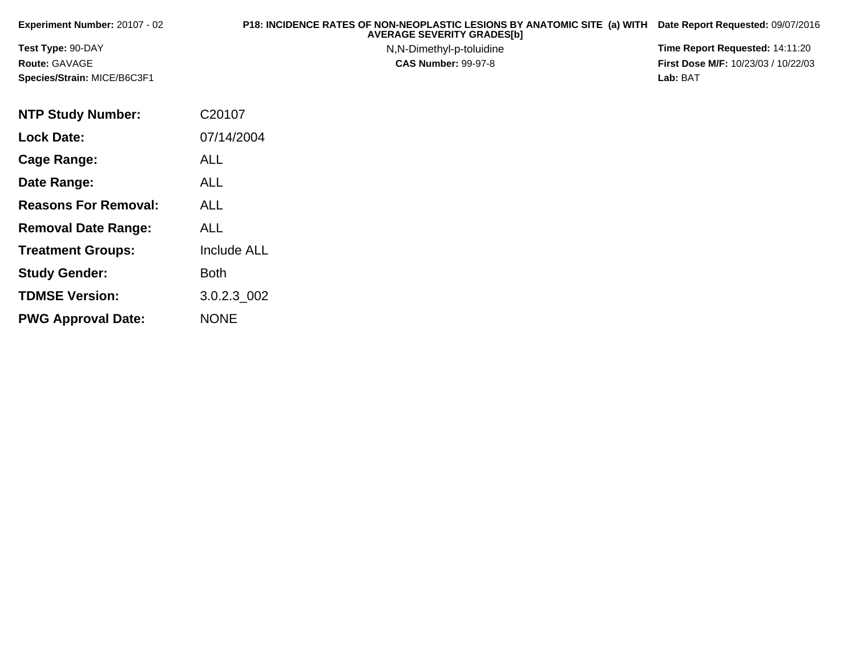| <b>Experiment Number: 20107 - 02</b> | P18: INCIDENCE RATES OF NON-NEOPLASTIC LESIONS BY ANATOMIC SITE (a) WITH<br><b>AVERAGE SEVERITY GRADES[b]</b> | Date Report Requested: 09/07/2016          |
|--------------------------------------|---------------------------------------------------------------------------------------------------------------|--------------------------------------------|
| <b>Test Type: 90-DAY</b>             | N, N-Dimethyl-p-toluidine                                                                                     | Time Report Requested: 14:11:20            |
| <b>Route: GAVAGE</b>                 | <b>CAS Number: 99-97-8</b>                                                                                    | <b>First Dose M/F: 10/23/03 / 10/22/03</b> |
| Species/Strain: MICE/B6C3F1          |                                                                                                               | Lab: BAT                                   |
|                                      |                                                                                                               |                                            |

| <b>NTP Study Number:</b>    | C20107             |
|-----------------------------|--------------------|
| <b>Lock Date:</b>           | 07/14/2004         |
| Cage Range:                 | <b>ALL</b>         |
| Date Range:                 | ALL                |
| <b>Reasons For Removal:</b> | <b>ALL</b>         |
| <b>Removal Date Range:</b>  | ALL                |
| <b>Treatment Groups:</b>    | <b>Include ALL</b> |
| <b>Study Gender:</b>        | <b>Both</b>        |
| <b>TDMSE Version:</b>       | 3.0.2.3 002        |
| <b>PWG Approval Date:</b>   | <b>NONE</b>        |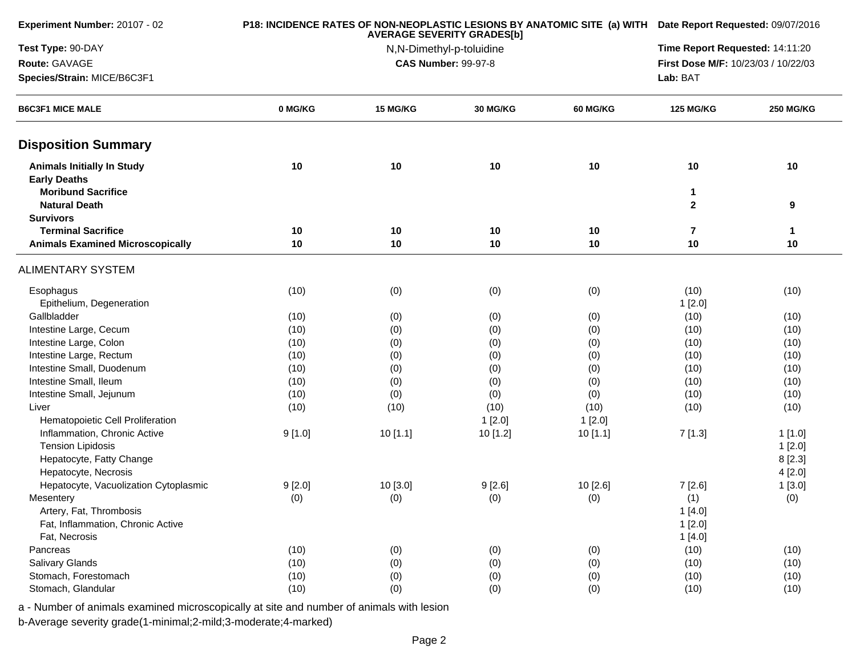| Experiment Number: 20107 - 02                            |         | P18: INCIDENCE RATES OF NON-NEOPLASTIC LESIONS BY ANATOMIC SITE (a) WITH Date Report Requested: 09/07/2016 |                            |                 |                                     |                  |  |
|----------------------------------------------------------|---------|------------------------------------------------------------------------------------------------------------|----------------------------|-----------------|-------------------------------------|------------------|--|
| Test Type: 90-DAY                                        |         |                                                                                                            | N,N-Dimethyl-p-toluidine   |                 | Time Report Requested: 14:11:20     |                  |  |
| Route: GAVAGE                                            |         |                                                                                                            | <b>CAS Number: 99-97-8</b> |                 | First Dose M/F: 10/23/03 / 10/22/03 |                  |  |
| Species/Strain: MICE/B6C3F1                              |         |                                                                                                            |                            |                 | Lab: BAT                            |                  |  |
| <b>B6C3F1 MICE MALE</b>                                  | 0 MG/KG | 15 MG/KG                                                                                                   | 30 MG/KG                   | <b>60 MG/KG</b> | <b>125 MG/KG</b>                    | <b>250 MG/KG</b> |  |
| <b>Disposition Summary</b>                               |         |                                                                                                            |                            |                 |                                     |                  |  |
| <b>Animals Initially In Study</b><br><b>Early Deaths</b> | 10      | 10                                                                                                         | 10                         | 10              | 10                                  | 10               |  |
| <b>Moribund Sacrifice</b><br><b>Natural Death</b>        |         |                                                                                                            |                            |                 | 1<br>$\mathbf{2}$                   | 9                |  |
| <b>Survivors</b>                                         |         |                                                                                                            |                            |                 |                                     |                  |  |
| <b>Terminal Sacrifice</b>                                | 10      | 10                                                                                                         | 10                         | 10              | 7                                   | 1                |  |
| <b>Animals Examined Microscopically</b>                  | 10      | 10                                                                                                         | 10                         | 10              | 10                                  | 10               |  |
| <b>ALIMENTARY SYSTEM</b>                                 |         |                                                                                                            |                            |                 |                                     |                  |  |
| Esophagus                                                | (10)    | (0)                                                                                                        | (0)                        | (0)             | (10)                                | (10)             |  |
| Epithelium, Degeneration                                 |         |                                                                                                            |                            |                 | 1[2.0]                              |                  |  |
| Gallbladder                                              | (10)    | (0)                                                                                                        | (0)                        | (0)             | (10)                                | (10)             |  |
| Intestine Large, Cecum                                   | (10)    | (0)                                                                                                        | (0)                        | (0)             | (10)                                | (10)             |  |
| Intestine Large, Colon                                   | (10)    | (0)                                                                                                        | (0)                        | (0)             | (10)                                | (10)             |  |
| Intestine Large, Rectum                                  | (10)    | (0)                                                                                                        | (0)                        | (0)             | (10)                                | (10)             |  |
| Intestine Small, Duodenum                                | (10)    | (0)                                                                                                        | (0)                        | (0)             | (10)                                | (10)             |  |
| Intestine Small, Ileum                                   | (10)    | (0)                                                                                                        | (0)                        | (0)             | (10)                                | (10)             |  |
| Intestine Small, Jejunum                                 | (10)    | (0)                                                                                                        | (0)                        | (0)             | (10)                                | (10)             |  |
| Liver                                                    | (10)    | (10)                                                                                                       | (10)                       | (10)            | (10)                                | (10)             |  |
| Hematopoietic Cell Proliferation                         |         |                                                                                                            | 1[2.0]                     | 1[2.0]          |                                     |                  |  |
| Inflammation, Chronic Active                             | 9[1.0]  | 10 [1.1]                                                                                                   | 10 [1.2]                   | 10[1.1]         | 7[1.3]                              | 1[1.0]           |  |
| <b>Tension Lipidosis</b>                                 |         |                                                                                                            |                            |                 |                                     | 1[2.0]           |  |
| Hepatocyte, Fatty Change                                 |         |                                                                                                            |                            |                 |                                     | 8[2.3]           |  |
| Hepatocyte, Necrosis                                     |         |                                                                                                            |                            |                 |                                     | 4[2.0]           |  |
| Hepatocyte, Vacuolization Cytoplasmic                    | 9[2.0]  | 10 [3.0]                                                                                                   | 9[2.6]                     | 10 [2.6]        | 7[2.6]                              | 1[3.0]           |  |
| Mesentery                                                | (0)     | (0)                                                                                                        | (0)                        | (0)             | (1)                                 | (0)              |  |
| Artery, Fat, Thrombosis                                  |         |                                                                                                            |                            |                 | 1[4.0]                              |                  |  |
| Fat, Inflammation, Chronic Active                        |         |                                                                                                            |                            |                 | 1[2.0]                              |                  |  |
| Fat, Necrosis                                            |         |                                                                                                            |                            |                 | 1[4.0]                              |                  |  |
| Pancreas                                                 | (10)    | (0)                                                                                                        | (0)                        | (0)             | (10)                                | (10)             |  |
| Salivary Glands                                          | (10)    | (0)                                                                                                        | (0)                        | (0)             | (10)                                | (10)             |  |
| Stomach, Forestomach                                     | (10)    | (0)                                                                                                        | (0)                        | (0)             | (10)                                | (10)             |  |
| Stomach, Glandular                                       | (10)    | (0)                                                                                                        | (0)                        | (0)             | (10)                                | (10)             |  |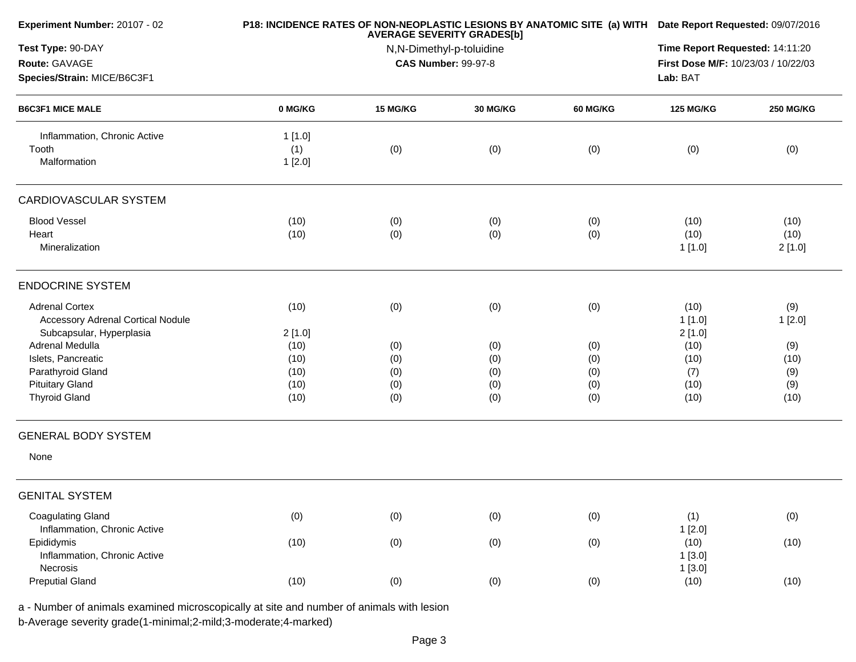| Experiment Number: 20107 - 02                            |         | P18: INCIDENCE RATES OF NON-NEOPLASTIC LESIONS BY ANATOMIC SITE (a) WITH Date Report Requested: 09/07/2016 |                                                        |                 |                                     |                  |
|----------------------------------------------------------|---------|------------------------------------------------------------------------------------------------------------|--------------------------------------------------------|-----------------|-------------------------------------|------------------|
| Test Type: 90-DAY                                        |         | Time Report Requested: 14:11:20                                                                            |                                                        |                 |                                     |                  |
| Route: GAVAGE                                            |         |                                                                                                            | N,N-Dimethyl-p-toluidine<br><b>CAS Number: 99-97-8</b> |                 | First Dose M/F: 10/23/03 / 10/22/03 |                  |
| Species/Strain: MICE/B6C3F1                              |         |                                                                                                            |                                                        |                 | Lab: BAT                            |                  |
| <b>B6C3F1 MICE MALE</b>                                  | 0 MG/KG | 15 MG/KG                                                                                                   | 30 MG/KG                                               | <b>60 MG/KG</b> | <b>125 MG/KG</b>                    | <b>250 MG/KG</b> |
| Inflammation, Chronic Active                             | 1[1.0]  |                                                                                                            |                                                        |                 |                                     |                  |
| Tooth                                                    | (1)     | (0)                                                                                                        | (0)                                                    | (0)             | (0)                                 | (0)              |
| Malformation                                             | 1[2.0]  |                                                                                                            |                                                        |                 |                                     |                  |
| <b>CARDIOVASCULAR SYSTEM</b>                             |         |                                                                                                            |                                                        |                 |                                     |                  |
| <b>Blood Vessel</b>                                      | (10)    | (0)                                                                                                        | (0)                                                    | (0)             | (10)                                | (10)             |
| Heart                                                    | (10)    | (0)                                                                                                        | (0)                                                    | (0)             | (10)                                | (10)             |
| Mineralization                                           |         |                                                                                                            |                                                        |                 | 1[1.0]                              | 2[1.0]           |
| <b>ENDOCRINE SYSTEM</b>                                  |         |                                                                                                            |                                                        |                 |                                     |                  |
| <b>Adrenal Cortex</b>                                    | (10)    | (0)                                                                                                        | (0)                                                    | (0)             | (10)                                | (9)              |
| <b>Accessory Adrenal Cortical Nodule</b>                 |         |                                                                                                            |                                                        |                 | 1[1.0]                              | 1[2.0]           |
| Subcapsular, Hyperplasia                                 | 2[1.0]  |                                                                                                            |                                                        |                 | 2[1.0]                              |                  |
| Adrenal Medulla                                          | (10)    | (0)                                                                                                        | (0)                                                    | (0)             | (10)                                | (9)              |
| Islets, Pancreatic                                       | (10)    | (0)                                                                                                        | (0)                                                    | (0)             | (10)                                | (10)             |
| Parathyroid Gland                                        | (10)    | (0)                                                                                                        | (0)                                                    | (0)             | (7)                                 | (9)              |
| <b>Pituitary Gland</b>                                   | (10)    | (0)                                                                                                        | (0)                                                    | (0)             | (10)                                | (9)              |
| <b>Thyroid Gland</b>                                     | (10)    | (0)                                                                                                        | (0)                                                    | (0)             | (10)                                | (10)             |
| <b>GENERAL BODY SYSTEM</b>                               |         |                                                                                                            |                                                        |                 |                                     |                  |
| None                                                     |         |                                                                                                            |                                                        |                 |                                     |                  |
| <b>GENITAL SYSTEM</b>                                    |         |                                                                                                            |                                                        |                 |                                     |                  |
| <b>Coagulating Gland</b><br>Inflammation, Chronic Active | (0)     | (0)                                                                                                        | (0)                                                    | (0)             | (1)<br>1[2.0]                       | (0)              |
| Epididymis                                               | (10)    | (0)                                                                                                        | (0)                                                    | (0)             | (10)                                | (10)             |
| Inflammation, Chronic Active                             |         |                                                                                                            |                                                        |                 | 1[3.0]                              |                  |
| Necrosis                                                 |         |                                                                                                            |                                                        |                 | 1[3.0]                              |                  |
| <b>Preputial Gland</b>                                   | (10)    | (0)                                                                                                        | (0)                                                    | (0)             | (10)                                | (10)             |
|                                                          |         |                                                                                                            |                                                        |                 |                                     |                  |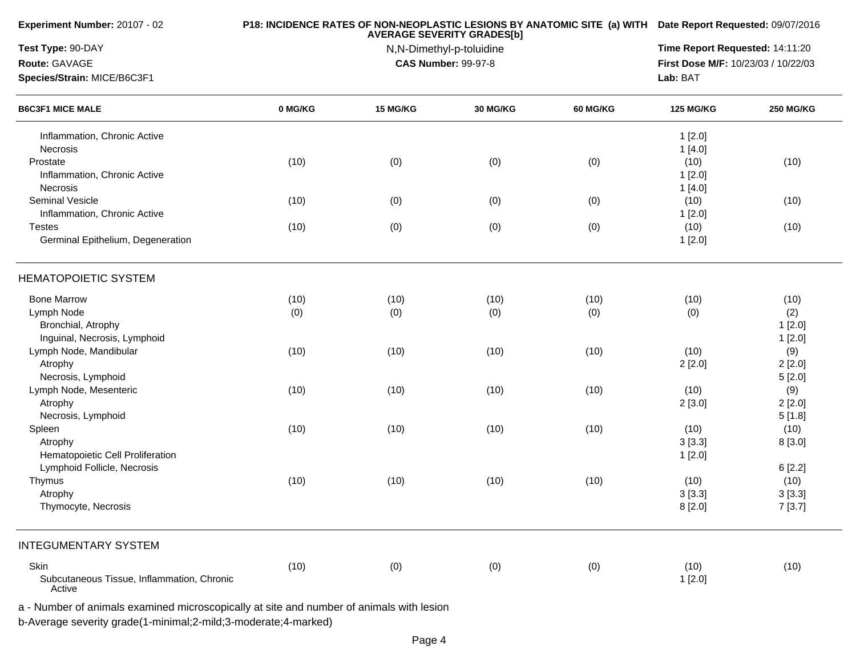|                                                      |         | P18: INCIDENCE RATES OF NON-NEOPLASTIC LESIONS BY ANATOMIC SITE (a) WITH Date Report Requested: 09/07/2016 |                                                        |                 |                                     |                  |
|------------------------------------------------------|---------|------------------------------------------------------------------------------------------------------------|--------------------------------------------------------|-----------------|-------------------------------------|------------------|
| Test Type: 90-DAY                                    |         | Time Report Requested: 14:11:20                                                                            |                                                        |                 |                                     |                  |
| Route: GAVAGE                                        |         |                                                                                                            | N,N-Dimethyl-p-toluidine<br><b>CAS Number: 99-97-8</b> |                 | First Dose M/F: 10/23/03 / 10/22/03 |                  |
| Species/Strain: MICE/B6C3F1                          |         |                                                                                                            |                                                        |                 | Lab: BAT                            |                  |
| <b>B6C3F1 MICE MALE</b>                              | 0 MG/KG | 15 MG/KG                                                                                                   | <b>30 MG/KG</b>                                        | <b>60 MG/KG</b> | <b>125 MG/KG</b>                    | <b>250 MG/KG</b> |
| Inflammation, Chronic Active                         |         |                                                                                                            |                                                        |                 | 1[2.0]                              |                  |
| Necrosis                                             |         |                                                                                                            |                                                        |                 | 1[4.0]                              |                  |
| Prostate                                             | (10)    | (0)                                                                                                        | (0)                                                    | (0)             | (10)                                | (10)             |
| Inflammation, Chronic Active                         |         |                                                                                                            |                                                        |                 | 1[2.0]                              |                  |
| Necrosis                                             |         |                                                                                                            |                                                        |                 | 1[4.0]                              |                  |
| Seminal Vesicle                                      | (10)    | (0)                                                                                                        | (0)                                                    | (0)             | (10)                                | (10)             |
| Inflammation, Chronic Active                         |         |                                                                                                            |                                                        |                 | 1[2.0]                              |                  |
| <b>Testes</b>                                        | (10)    | (0)                                                                                                        | (0)                                                    | (0)             | (10)                                | (10)             |
| Germinal Epithelium, Degeneration                    |         |                                                                                                            |                                                        |                 | 1[2.0]                              |                  |
| <b>HEMATOPOIETIC SYSTEM</b>                          |         |                                                                                                            |                                                        |                 |                                     |                  |
| <b>Bone Marrow</b>                                   | (10)    | (10)                                                                                                       | (10)                                                   | (10)            | (10)                                | (10)             |
| Lymph Node                                           | (0)     | (0)                                                                                                        | (0)                                                    | (0)             | (0)                                 | (2)              |
| Bronchial, Atrophy                                   |         |                                                                                                            |                                                        |                 |                                     | 1[2.0]           |
| Inguinal, Necrosis, Lymphoid                         |         |                                                                                                            |                                                        |                 |                                     | 1[2.0]           |
| Lymph Node, Mandibular                               | (10)    | (10)                                                                                                       | (10)                                                   | (10)            | (10)                                | (9)              |
| Atrophy                                              |         |                                                                                                            |                                                        |                 | 2[2.0]                              | 2[2.0]           |
| Necrosis, Lymphoid                                   |         |                                                                                                            |                                                        |                 |                                     | 5[2.0]           |
| Lymph Node, Mesenteric                               | (10)    | (10)                                                                                                       | (10)                                                   | (10)            | (10)                                | (9)              |
| Atrophy                                              |         |                                                                                                            |                                                        |                 | 2[3.0]                              | 2[2.0]           |
| Necrosis, Lymphoid                                   |         |                                                                                                            |                                                        |                 |                                     | 5[1.8]           |
| Spleen                                               | (10)    | (10)                                                                                                       | (10)                                                   | (10)            | (10)                                | (10)             |
| Atrophy                                              |         |                                                                                                            |                                                        |                 | 3[3.3]                              | 8[3.0]           |
| Hematopoietic Cell Proliferation                     |         |                                                                                                            |                                                        |                 | 1[2.0]                              |                  |
| Lymphoid Follicle, Necrosis                          |         |                                                                                                            |                                                        |                 |                                     | 6[2.2]           |
| Thymus                                               | (10)    | (10)                                                                                                       | (10)                                                   | (10)            | (10)                                | (10)             |
| Atrophy                                              |         |                                                                                                            |                                                        |                 | 3[3.3]                              | 3[3.3]           |
| Thymocyte, Necrosis                                  |         |                                                                                                            |                                                        |                 | 8[2.0]                              | 7[3.7]           |
| <b>INTEGUMENTARY SYSTEM</b>                          |         |                                                                                                            |                                                        |                 |                                     |                  |
| Skin                                                 | (10)    | (0)                                                                                                        | (0)                                                    | (0)             | (10)                                | (10)             |
| Subcutaneous Tissue, Inflammation, Chronic<br>Active |         |                                                                                                            |                                                        |                 | 1[2.0]                              |                  |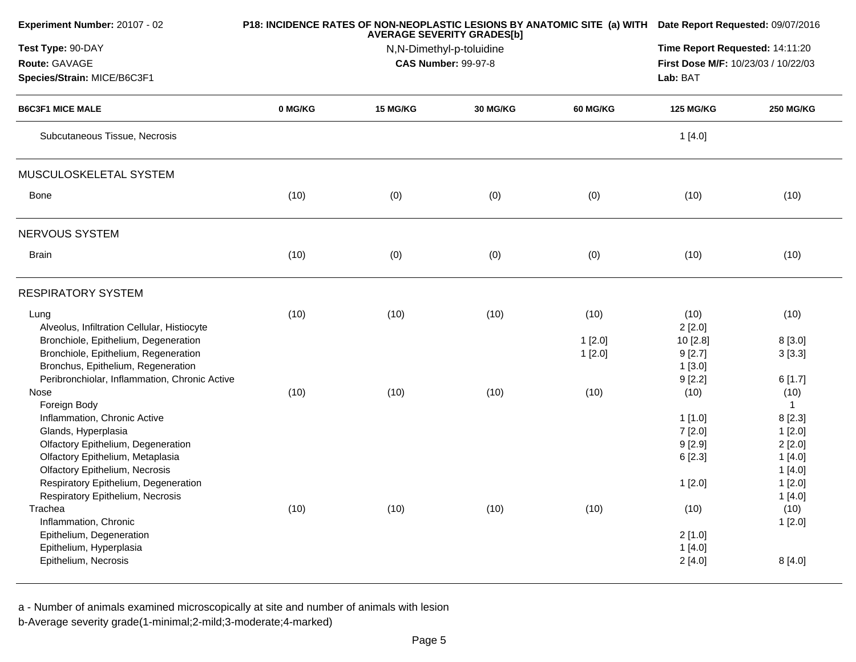| Experiment Number: 20107 - 02                       |         | P18: INCIDENCE RATES OF NON-NEOPLASTIC LESIONS BY ANATOMIC SITE (a) WITH Date Report Requested: 09/07/2016 |                                                        |                 |                                     |                        |
|-----------------------------------------------------|---------|------------------------------------------------------------------------------------------------------------|--------------------------------------------------------|-----------------|-------------------------------------|------------------------|
| Test Type: 90-DAY                                   |         |                                                                                                            | Time Report Requested: 14:11:20                        |                 |                                     |                        |
| Route: GAVAGE                                       |         |                                                                                                            | N,N-Dimethyl-p-toluidine<br><b>CAS Number: 99-97-8</b> |                 | First Dose M/F: 10/23/03 / 10/22/03 |                        |
| Species/Strain: MICE/B6C3F1                         |         |                                                                                                            |                                                        |                 | Lab: BAT                            |                        |
| <b>B6C3F1 MICE MALE</b>                             | 0 MG/KG | 15 MG/KG                                                                                                   | 30 MG/KG                                               | <b>60 MG/KG</b> | <b>125 MG/KG</b>                    | <b>250 MG/KG</b>       |
| Subcutaneous Tissue, Necrosis                       |         |                                                                                                            |                                                        |                 | 1[4.0]                              |                        |
| MUSCULOSKELETAL SYSTEM                              |         |                                                                                                            |                                                        |                 |                                     |                        |
| Bone                                                | (10)    | (0)                                                                                                        | (0)                                                    | (0)             | (10)                                | (10)                   |
| NERVOUS SYSTEM                                      |         |                                                                                                            |                                                        |                 |                                     |                        |
| <b>Brain</b>                                        | (10)    | (0)                                                                                                        | (0)                                                    | (0)             | (10)                                | (10)                   |
| <b>RESPIRATORY SYSTEM</b>                           |         |                                                                                                            |                                                        |                 |                                     |                        |
| Lung<br>Alveolus, Infiltration Cellular, Histiocyte | (10)    | (10)                                                                                                       | (10)                                                   | (10)            | (10)<br>2[2.0]                      | (10)                   |
| Bronchiole, Epithelium, Degeneration                |         |                                                                                                            |                                                        | 1[2.0]          | 10 [2.8]                            | 8[3.0]                 |
| Bronchiole, Epithelium, Regeneration                |         |                                                                                                            |                                                        | 1[2.0]          | 9[2.7]                              | 3[3.3]                 |
| Bronchus, Epithelium, Regeneration                  |         |                                                                                                            |                                                        |                 | 1[3.0]                              |                        |
| Peribronchiolar, Inflammation, Chronic Active       |         |                                                                                                            |                                                        |                 | 9[2.2]                              | 6[1.7]                 |
| Nose                                                | (10)    | (10)                                                                                                       | (10)                                                   | (10)            | (10)                                | (10)                   |
| Foreign Body<br>Inflammation, Chronic Active        |         |                                                                                                            |                                                        |                 | 1[1.0]                              | $\mathbf{1}$<br>8[2.3] |
| Glands, Hyperplasia                                 |         |                                                                                                            |                                                        |                 | 7[2.0]                              | 1[2.0]                 |
| Olfactory Epithelium, Degeneration                  |         |                                                                                                            |                                                        |                 | 9[2.9]                              | 2[2.0]                 |
| Olfactory Epithelium, Metaplasia                    |         |                                                                                                            |                                                        |                 | 6[2.3]                              | 1[4.0]                 |
| Olfactory Epithelium, Necrosis                      |         |                                                                                                            |                                                        |                 |                                     | 1[4.0]                 |
| Respiratory Epithelium, Degeneration                |         |                                                                                                            |                                                        |                 | 1[2.0]                              | 1[2.0]                 |
| Respiratory Epithelium, Necrosis                    |         |                                                                                                            |                                                        |                 |                                     | 1[4.0]                 |
| Trachea                                             | (10)    | (10)                                                                                                       | (10)                                                   | (10)            | (10)                                | (10)                   |
| Inflammation, Chronic                               |         |                                                                                                            |                                                        |                 |                                     | 1[2.0]                 |
| Epithelium, Degeneration                            |         |                                                                                                            |                                                        |                 | 2[1.0]                              |                        |
| Epithelium, Hyperplasia                             |         |                                                                                                            |                                                        |                 | 1[4.0]                              |                        |
| Epithelium, Necrosis                                |         |                                                                                                            |                                                        |                 | 2[4.0]                              | 8[4.0]                 |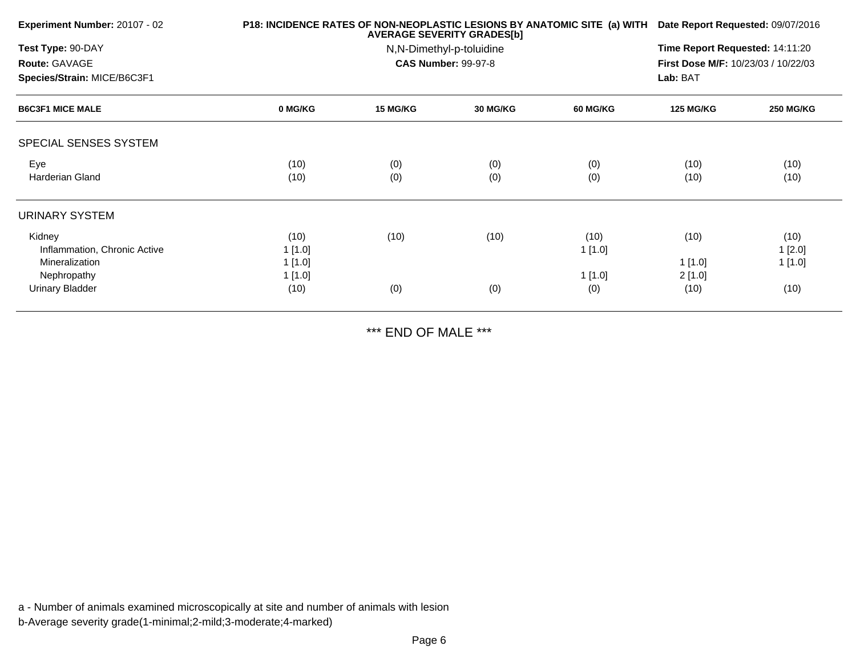| Experiment Number: 20107 - 02 |         | P18: INCIDENCE RATES OF NON-NEOPLASTIC LESIONS BY ANATOMIC SITE (a) WITH Date Report Requested: 09/07/2016 |                            |                 |                                     |                  |  |
|-------------------------------|---------|------------------------------------------------------------------------------------------------------------|----------------------------|-----------------|-------------------------------------|------------------|--|
| Test Type: 90-DAY             |         |                                                                                                            | N,N-Dimethyl-p-toluidine   |                 | Time Report Requested: 14:11:20     |                  |  |
| Route: GAVAGE                 |         |                                                                                                            | <b>CAS Number: 99-97-8</b> |                 | First Dose M/F: 10/23/03 / 10/22/03 |                  |  |
| Species/Strain: MICE/B6C3F1   |         |                                                                                                            |                            |                 | Lab: BAT                            |                  |  |
| <b>B6C3F1 MICE MALE</b>       | 0 MG/KG | <b>15 MG/KG</b>                                                                                            | <b>30 MG/KG</b>            | <b>60 MG/KG</b> | <b>125 MG/KG</b>                    | <b>250 MG/KG</b> |  |
| SPECIAL SENSES SYSTEM         |         |                                                                                                            |                            |                 |                                     |                  |  |
| Eye                           | (10)    | (0)                                                                                                        | (0)                        | (0)             | (10)                                | (10)             |  |
| Harderian Gland               | (10)    | (0)                                                                                                        | (0)                        | (0)             | (10)                                | (10)             |  |
| URINARY SYSTEM                |         |                                                                                                            |                            |                 |                                     |                  |  |
| Kidney                        | (10)    | (10)                                                                                                       | (10)                       | (10)            | (10)                                | (10)             |  |
| Inflammation, Chronic Active  | 1 [1.0] |                                                                                                            |                            | 1[1.0]          |                                     | 1[2.0]           |  |
| <b>Mineralization</b>         | 1[1.0]  |                                                                                                            |                            |                 | 1[1.0]                              | 1 [1.0]          |  |
| Nephropathy                   | 1[1.0]  |                                                                                                            |                            | 1[1.0]          | 2[1.0]                              |                  |  |
| <b>Urinary Bladder</b>        | (10)    | (0)                                                                                                        | (0)                        | (0)             | (10)                                | (10)             |  |

\*\*\* END OF MALE \*\*\*

a - Number of animals examined microscopically at site and number of animals with lesionb-Average severity grade(1-minimal;2-mild;3-moderate;4-marked)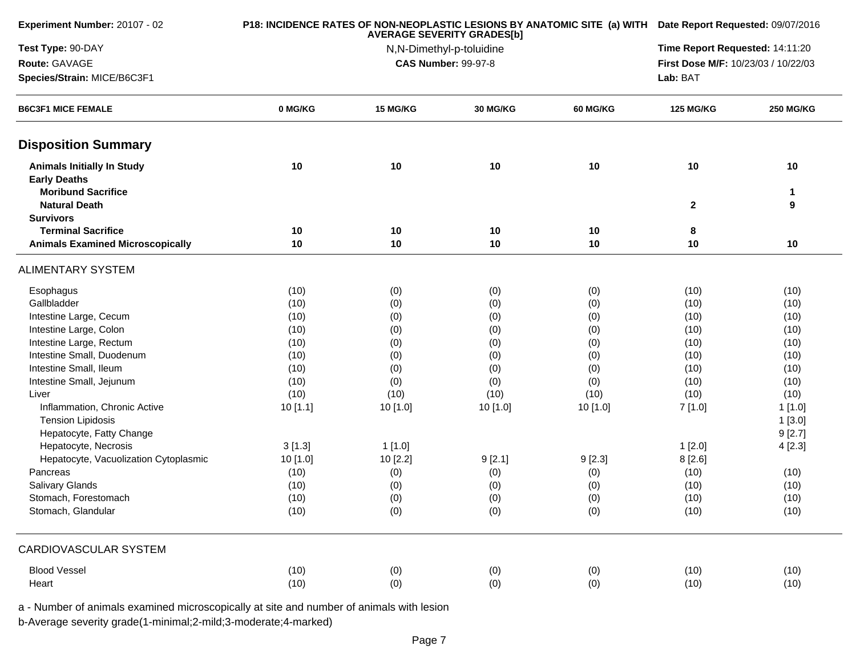| Experiment Number: 20107 - 02                    |              | P18: INCIDENCE RATES OF NON-NEOPLASTIC LESIONS BY ANATOMIC SITE (a) WITH Date Report Requested: 09/07/2016 |                 |            |                  |                  |
|--------------------------------------------------|--------------|------------------------------------------------------------------------------------------------------------|-----------------|------------|------------------|------------------|
| Test Type: 90-DAY                                |              | Time Report Requested: 14:11:20                                                                            |                 |            |                  |                  |
| Route: GAVAGE                                    |              | N,N-Dimethyl-p-toluidine<br><b>CAS Number: 99-97-8</b>                                                     |                 |            |                  |                  |
| Species/Strain: MICE/B6C3F1                      |              |                                                                                                            |                 |            | Lab: BAT         |                  |
| <b>B6C3F1 MICE FEMALE</b>                        | 0 MG/KG      | 15 MG/KG                                                                                                   | <b>30 MG/KG</b> | 60 MG/KG   | <b>125 MG/KG</b> | <b>250 MG/KG</b> |
| <b>Disposition Summary</b>                       |              |                                                                                                            |                 |            |                  |                  |
| <b>Animals Initially In Study</b>                | 10           | 10                                                                                                         | 10              | 10         | 10               | 10               |
| <b>Early Deaths</b><br><b>Moribund Sacrifice</b> |              |                                                                                                            |                 |            |                  | $\mathbf 1$      |
| <b>Natural Death</b>                             |              |                                                                                                            |                 |            | $\overline{2}$   | 9                |
| <b>Survivors</b>                                 |              |                                                                                                            |                 |            |                  |                  |
| <b>Terminal Sacrifice</b>                        | 10           | 10                                                                                                         | 10              | 10         | 8                |                  |
| <b>Animals Examined Microscopically</b>          | 10           | 10                                                                                                         | 10              | 10         | 10               | 10               |
| <b>ALIMENTARY SYSTEM</b>                         |              |                                                                                                            |                 |            |                  |                  |
| Esophagus                                        | (10)         | (0)                                                                                                        | (0)             | (0)        | (10)             | (10)             |
| Gallbladder                                      | (10)         | (0)                                                                                                        | (0)             | (0)        | (10)             | (10)             |
| Intestine Large, Cecum                           | (10)         | (0)                                                                                                        | (0)             | (0)        | (10)             | (10)             |
| Intestine Large, Colon                           | (10)         | (0)                                                                                                        | (0)             | (0)        | (10)             | (10)             |
| Intestine Large, Rectum                          | (10)         | (0)                                                                                                        | (0)             | (0)        | (10)             | (10)             |
| Intestine Small, Duodenum                        | (10)         | (0)                                                                                                        | (0)             | (0)        | (10)             | (10)             |
| Intestine Small, Ileum                           | (10)         | (0)                                                                                                        | (0)             | (0)        | (10)             | (10)             |
| Intestine Small, Jejunum                         | (10)         | (0)                                                                                                        | (0)             | (0)        | (10)             | (10)             |
| Liver                                            | (10)         | (10)                                                                                                       | (10)            | (10)       | (10)             | (10)             |
| Inflammation, Chronic Active                     | 10[1.1]      | 10 [1.0]                                                                                                   | 10[1.0]         | 10 [1.0]   | 7[1.0]           | 1[1.0]           |
| <b>Tension Lipidosis</b>                         |              |                                                                                                            |                 |            |                  | 1[3.0]           |
| Hepatocyte, Fatty Change                         |              |                                                                                                            |                 |            |                  | 9[2.7]           |
| Hepatocyte, Necrosis                             | 3[1.3]       | 1[1.0]                                                                                                     |                 |            | 1[2.0]           | 4[2.3]           |
| Hepatocyte, Vacuolization Cytoplasmic            | 10 [1.0]     | 10 [2.2]                                                                                                   | 9[2.1]          | 9[2.3]     | 8[2.6]           |                  |
| Pancreas                                         | (10)         | (0)                                                                                                        | (0)             | (0)        | (10)             | (10)             |
| Salivary Glands<br>Stomach, Forestomach          | (10)<br>(10) | (0)                                                                                                        | (0)<br>(0)      | (0)<br>(0) | (10)<br>(10)     | (10)<br>(10)     |
| Stomach, Glandular                               | (10)         | (0)<br>(0)                                                                                                 | (0)             | (0)        | (10)             | (10)             |
|                                                  |              |                                                                                                            |                 |            |                  |                  |
| <b>CARDIOVASCULAR SYSTEM</b>                     |              |                                                                                                            |                 |            |                  |                  |
| <b>Blood Vessel</b>                              | (10)         | (0)                                                                                                        | (0)             | (0)        | (10)             | (10)             |
| Heart                                            | (10)         | (0)                                                                                                        | (0)             | (0)        | (10)             | (10)             |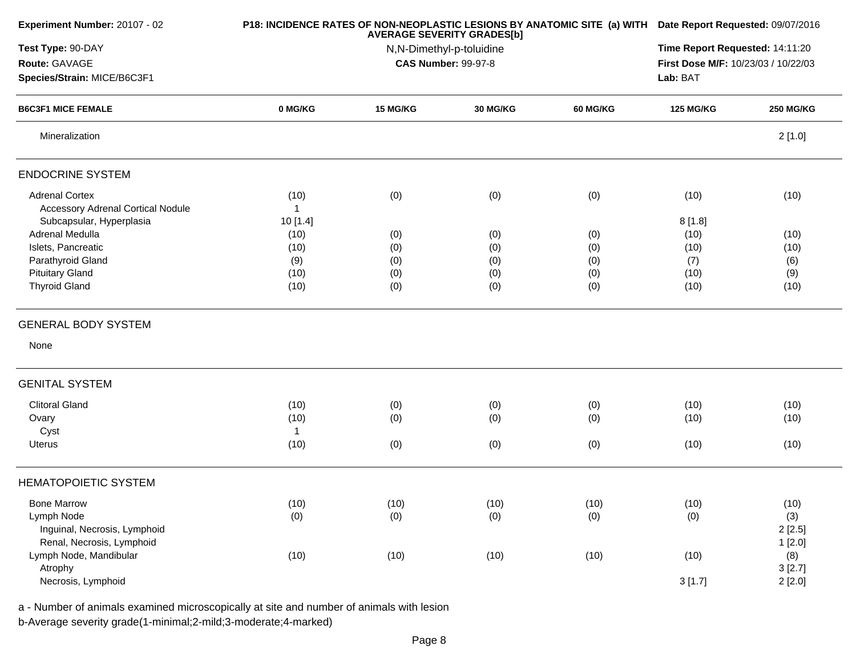| Experiment Number: 20107 - 02            |          | P18: INCIDENCE RATES OF NON-NEOPLASTIC LESIONS BY ANATOMIC SITE (a) WITH Date Report Requested: 09/07/2016<br>Time Report Requested: 14:11:20 |                            |                 |                                     |                  |
|------------------------------------------|----------|-----------------------------------------------------------------------------------------------------------------------------------------------|----------------------------|-----------------|-------------------------------------|------------------|
| Test Type: 90-DAY                        |          |                                                                                                                                               |                            |                 |                                     |                  |
| Route: GAVAGE                            |          |                                                                                                                                               | <b>CAS Number: 99-97-8</b> |                 | First Dose M/F: 10/23/03 / 10/22/03 |                  |
| Species/Strain: MICE/B6C3F1              |          |                                                                                                                                               |                            |                 | Lab: BAT                            |                  |
| <b>B6C3F1 MICE FEMALE</b>                | 0 MG/KG  | 15 MG/KG                                                                                                                                      | <b>30 MG/KG</b>            | <b>60 MG/KG</b> | <b>125 MG/KG</b>                    | <b>250 MG/KG</b> |
| Mineralization                           |          |                                                                                                                                               |                            |                 |                                     | 2[1.0]           |
| <b>ENDOCRINE SYSTEM</b>                  |          |                                                                                                                                               |                            |                 |                                     |                  |
| <b>Adrenal Cortex</b>                    | (10)     | (0)                                                                                                                                           | (0)                        | (0)             | (10)                                | (10)             |
| <b>Accessory Adrenal Cortical Nodule</b> |          |                                                                                                                                               |                            |                 |                                     |                  |
| Subcapsular, Hyperplasia                 | 10 [1.4] |                                                                                                                                               |                            |                 | 8[1.8]                              |                  |
| Adrenal Medulla                          | (10)     | (0)                                                                                                                                           | (0)                        | (0)             | (10)                                | (10)             |
| Islets, Pancreatic                       | (10)     | (0)                                                                                                                                           | (0)                        | (0)             | (10)                                | (10)             |
| Parathyroid Gland                        | (9)      | (0)                                                                                                                                           | (0)                        | (0)             | (7)                                 | (6)              |
| <b>Pituitary Gland</b>                   | (10)     | (0)                                                                                                                                           | (0)                        | (0)             | (10)                                | (9)              |
| <b>Thyroid Gland</b>                     | (10)     | (0)                                                                                                                                           | (0)                        | (0)             | (10)                                | (10)             |
| <b>GENERAL BODY SYSTEM</b>               |          |                                                                                                                                               |                            |                 |                                     |                  |
| None                                     |          |                                                                                                                                               |                            |                 |                                     |                  |
| <b>GENITAL SYSTEM</b>                    |          |                                                                                                                                               |                            |                 |                                     |                  |
| <b>Clitoral Gland</b>                    | (10)     | (0)                                                                                                                                           | (0)                        | (0)             | (10)                                | (10)             |
| Ovary                                    | (10)     | (0)                                                                                                                                           | (0)                        | (0)             | (10)                                | (10)             |
| Cyst                                     | 1        |                                                                                                                                               |                            |                 |                                     |                  |
| Uterus                                   | (10)     | (0)                                                                                                                                           | (0)                        | (0)             | (10)                                | (10)             |
| <b>HEMATOPOIETIC SYSTEM</b>              |          |                                                                                                                                               |                            |                 |                                     |                  |
|                                          |          |                                                                                                                                               |                            |                 |                                     |                  |
| <b>Bone Marrow</b><br>Lymph Node         | (10)     | (10)                                                                                                                                          | (10)                       | (10)            | (10)                                | (10)             |
|                                          | (0)      | (0)                                                                                                                                           | (0)                        | (0)             | (0)                                 | (3)              |
| Inguinal, Necrosis, Lymphoid             |          |                                                                                                                                               |                            |                 |                                     | 2[2.5]           |
| Renal, Necrosis, Lymphoid                |          |                                                                                                                                               |                            |                 |                                     | 1[2.0]           |
| Lymph Node, Mandibular<br>Atrophy        | (10)     | (10)                                                                                                                                          | (10)                       | (10)            | (10)                                | (8)<br>3[2.7]    |
| Necrosis, Lymphoid                       |          |                                                                                                                                               |                            |                 | 3[1.7]                              | 2[2.0]           |
|                                          |          |                                                                                                                                               |                            |                 |                                     |                  |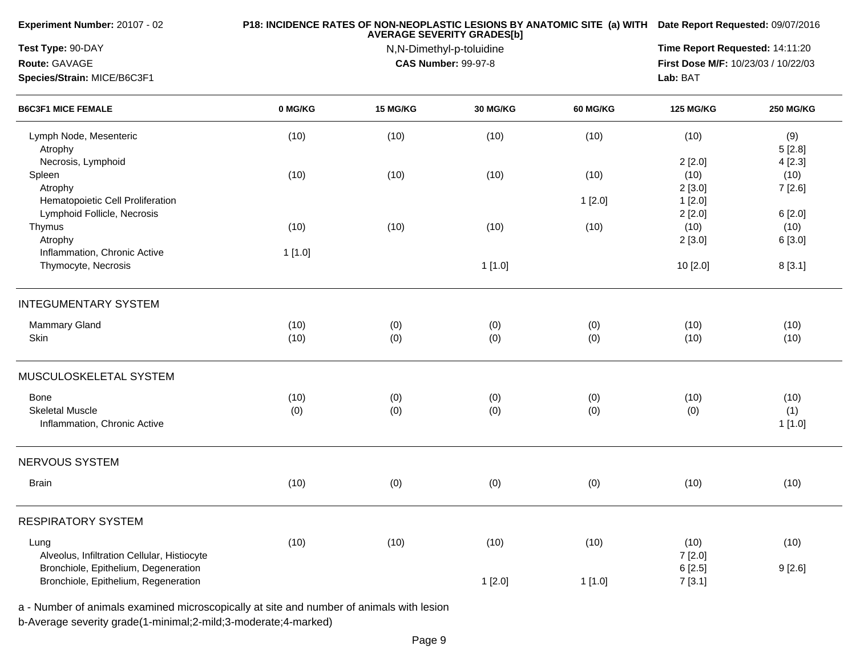| Experiment Number: 20107 - 02                                                |              | P18: INCIDENCE RATES OF NON-NEOPLASTIC LESIONS BY ANATOMIC SITE (a) WITH Date Report Requested: 09/07/2016<br>Time Report Requested: 14:11:20 |                                                        |                 |                                     |                          |
|------------------------------------------------------------------------------|--------------|-----------------------------------------------------------------------------------------------------------------------------------------------|--------------------------------------------------------|-----------------|-------------------------------------|--------------------------|
| Test Type: 90-DAY                                                            |              |                                                                                                                                               |                                                        |                 |                                     |                          |
| Route: GAVAGE                                                                |              |                                                                                                                                               | N,N-Dimethyl-p-toluidine<br><b>CAS Number: 99-97-8</b> |                 | First Dose M/F: 10/23/03 / 10/22/03 |                          |
| Species/Strain: MICE/B6C3F1                                                  |              |                                                                                                                                               |                                                        |                 | Lab: BAT                            |                          |
| <b>B6C3F1 MICE FEMALE</b>                                                    | 0 MG/KG      | 15 MG/KG                                                                                                                                      | 30 MG/KG                                               | <b>60 MG/KG</b> | <b>125 MG/KG</b>                    | <b>250 MG/KG</b>         |
| Lymph Node, Mesenteric<br>Atrophy                                            | (10)         | (10)                                                                                                                                          | (10)                                                   | (10)            | (10)                                | (9)<br>5[2.8]            |
| Necrosis, Lymphoid<br>Spleen<br>Atrophy                                      | (10)         | (10)                                                                                                                                          | (10)                                                   | (10)            | 2[2.0]<br>(10)<br>2[3.0]            | 4[2.3]<br>(10)<br>7[2.6] |
| Hematopoietic Cell Proliferation<br>Lymphoid Follicle, Necrosis              |              |                                                                                                                                               |                                                        | 1[2.0]          | 1[2.0]<br>2[2.0]                    | 6[2.0]                   |
| Thymus<br>Atrophy                                                            | (10)         | (10)                                                                                                                                          | (10)                                                   | (10)            | (10)<br>2[3.0]                      | (10)<br>6 [3.0]          |
| Inflammation, Chronic Active<br>Thymocyte, Necrosis                          | 1[1.0]       |                                                                                                                                               | 1[1.0]                                                 |                 | 10 [2.0]                            | 8[3.1]                   |
| <b>INTEGUMENTARY SYSTEM</b>                                                  |              |                                                                                                                                               |                                                        |                 |                                     |                          |
| <b>Mammary Gland</b><br>Skin                                                 | (10)<br>(10) | (0)<br>(0)                                                                                                                                    | (0)<br>(0)                                             | (0)<br>(0)      | (10)<br>(10)                        | (10)<br>(10)             |
| MUSCULOSKELETAL SYSTEM                                                       |              |                                                                                                                                               |                                                        |                 |                                     |                          |
| Bone<br><b>Skeletal Muscle</b><br>Inflammation, Chronic Active               | (10)<br>(0)  | (0)<br>(0)                                                                                                                                    | (0)<br>(0)                                             | (0)<br>(0)      | (10)<br>(0)                         | (10)<br>(1)<br>1[1.0]    |
| NERVOUS SYSTEM                                                               |              |                                                                                                                                               |                                                        |                 |                                     |                          |
| <b>Brain</b>                                                                 | (10)         | (0)                                                                                                                                           | (0)                                                    | (0)             | (10)                                | (10)                     |
| <b>RESPIRATORY SYSTEM</b>                                                    |              |                                                                                                                                               |                                                        |                 |                                     |                          |
| Lung<br>Alveolus, Infiltration Cellular, Histiocyte                          | (10)         | (10)                                                                                                                                          | (10)                                                   | (10)            | (10)<br>7[2.0]                      | (10)                     |
| Bronchiole, Epithelium, Degeneration<br>Bronchiole, Epithelium, Regeneration |              |                                                                                                                                               | 1[2.0]                                                 | 1[1.0]          | 6[2.5]<br>7[3.1]                    | 9[2.6]                   |